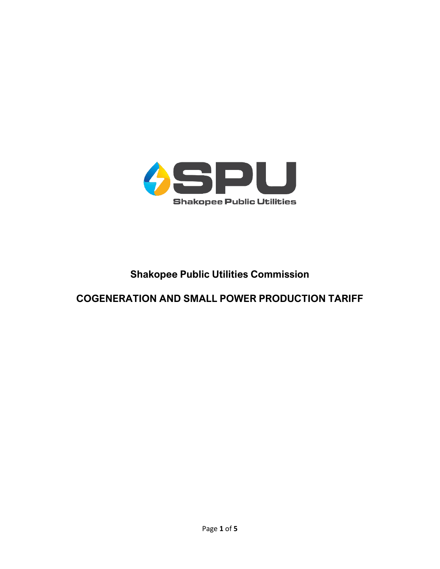

# **Shakopee Public Utilities Commission**

# **COGENERATION AND SMALL POWER PRODUCTION TARIFF**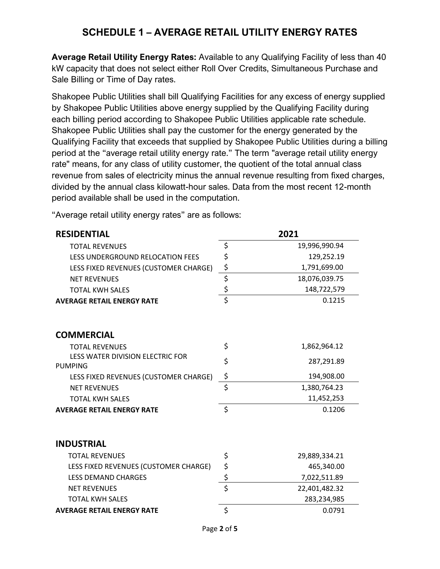### **SCHEDULE 1 – AVERAGE RETAIL UTILITY ENERGY RATES**

**Average Retail Utility Energy Rates:** Available to any Qualifying Facility of less than 40 kW capacity that does not select either Roll Over Credits, Simultaneous Purchase and Sale Billing or Time of Day rates.

Shakopee Public Utilities shall bill Qualifying Facilities for any excess of energy supplied by Shakopee Public Utilities above energy supplied by the Qualifying Facility during each billing period according to Shakopee Public Utilities applicable rate schedule. Shakopee Public Utilities shall pay the customer for the energy generated by the Qualifying Facility that exceeds that supplied by Shakopee Public Utilities during a billing period at the "average retail utility energy rate." The term "average retail utility energy rate" means, for any class of utility customer, the quotient of the total annual class revenue from sales of electricity minus the annual revenue resulting from fixed charges, divided by the annual class kilowatt-hour sales. Data from the most recent 12-month period available shall be used in the computation.

"Average retail utility energy rates" are as follows:

| <b>RESIDENTIAL</b>                                 |                                 | 2021          |
|----------------------------------------------------|---------------------------------|---------------|
| <b>TOTAL REVENUES</b>                              | \$                              | 19,996,990.94 |
| <b>LESS UNDERGROUND RELOCATION FEES</b>            | \$                              | 129,252.19    |
| LESS FIXED REVENUES (CUSTOMER CHARGE)              | \$                              | 1,791,699.00  |
| <b>NET REVENUES</b>                                | $\overline{\boldsymbol{\zeta}}$ | 18,076,039.75 |
| <b>TOTAL KWH SALES</b>                             | $\frac{1}{2}$                   | 148,722,579   |
| <b>AVERAGE RETAIL ENERGY RATE</b>                  | $\overline{\mathsf{s}}$         | 0.1215        |
| <b>COMMERCIAL</b>                                  |                                 |               |
| <b>TOTAL REVENUES</b>                              | \$                              | 1,862,964.12  |
| LESS WATER DIVISION ELECTRIC FOR<br><b>PUMPING</b> | \$                              | 287,291.89    |
| LESS FIXED REVENUES (CUSTOMER CHARGE)              | \$                              | 194,908.00    |
| <b>NET REVENUES</b>                                | \$                              | 1,380,764.23  |
| <b>TOTAL KWH SALES</b>                             |                                 | 11,452,253    |
| <b>AVERAGE RETAIL ENERGY RATE</b>                  | $\zeta$                         | 0.1206        |
| <b>INDUSTRIAL</b>                                  |                                 |               |
| <b>TOTAL REVENUES</b>                              | \$                              | 29,889,334.21 |
| LESS FIXED REVENUES (CUSTOMER CHARGE)              | \$                              | 465,340.00    |
| <b>LESS DEMAND CHARGES</b>                         | \$                              | 7,022,511.89  |
| <b>NET REVENUES</b>                                | \$                              | 22,401,482.32 |
| <b>TOTAL KWH SALES</b>                             |                                 | 283,234,985   |
| <b>AVERAGE RETAIL ENERGY RATE</b>                  | $\zeta$                         | 0.0791        |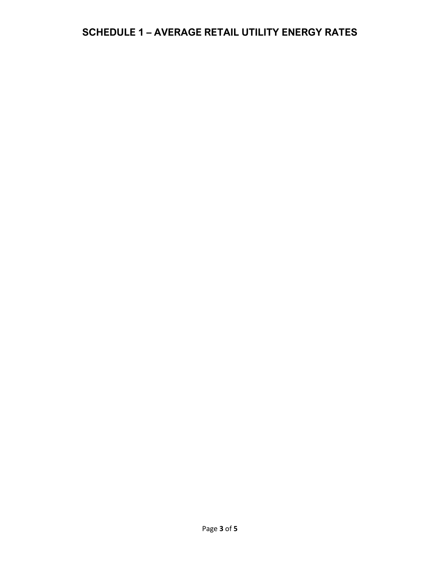# **SCHEDULE 1 – AVERAGE RETAIL UTILITY ENERGY RATES**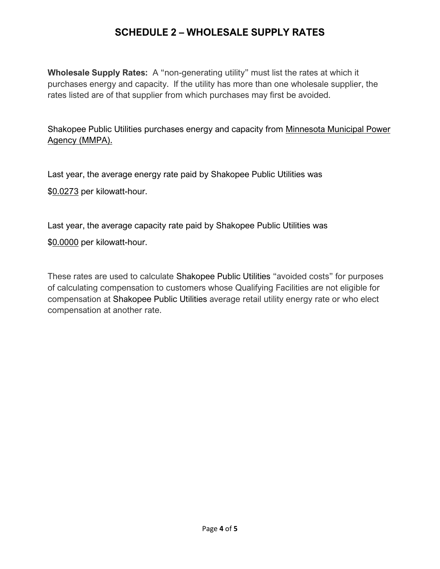### **SCHEDULE 2 – WHOLESALE SUPPLY RATES**

**Wholesale Supply Rates:** A "non-generating utility" must list the rates at which it purchases energy and capacity. If the utility has more than one wholesale supplier, the rates listed are of that supplier from which purchases may first be avoided.

Shakopee Public Utilities purchases energy and capacity from Minnesota Municipal Power Agency (MMPA).

Last year, the average energy rate paid by Shakopee Public Utilities was

\$0.0273 per kilowatt-hour.

Last year, the average capacity rate paid by Shakopee Public Utilities was

\$0.0000 per kilowatt-hour.

These rates are used to calculate Shakopee Public Utilities "avoided costs" for purposes of calculating compensation to customers whose Qualifying Facilities are not eligible for compensation at Shakopee Public Utilities average retail utility energy rate or who elect compensation at another rate.